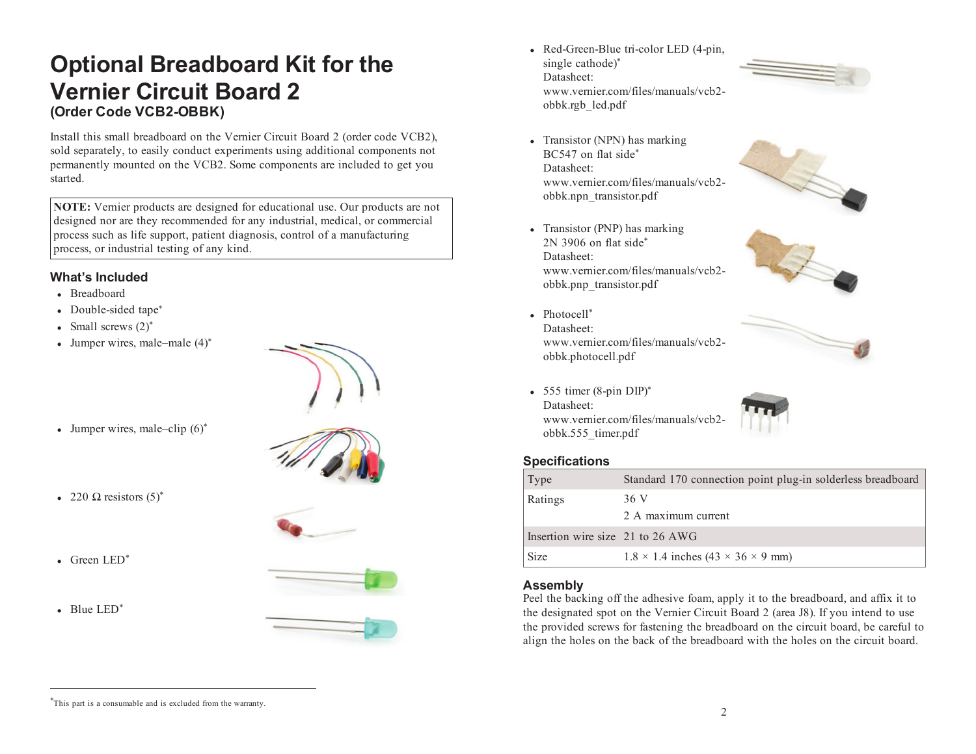# **Optional Breadboard Kit for the Vernier Circuit Board 2(Order Code VCB2-OBBK)**

Install this small breadboard on the Vernier Circuit Board 2 (order code VCB2), sold separately, to easily conduct experiments using additional components not permanently mounted on the VCB2. Some components are included to get you started.

**NOTE:** Vernier products are designed for educational use. Our products are not designed nor are they recommended for any industrial, medical, or commercial process such as life support, patient diagnosis, control of a manufacturing process, or industrial testing of any kind.

### **What's Included**

- Breadboard
- Double-sided tape\*
- Small screws  $(2)^*$
- Jumper wires, male–male (4)\*



• Jumper wires, male–clip  $(6)^*$ 



- 220  $\Omega$  resistors  $(5)^*$
- Green LED<sup>\*</sup>
- Blue LED<sup>\*</sup>





- Transistor (NPN) has marking BC547 on flat side\* Datasheet: www.vernier.com/files/manuals/vcb2obbk.npn\_transistor.pdf
- Transistor (PNP) has marking 2N 3906 on flat side\* Datasheet: www.vernier.com/files/manuals/vcb2obbk.pnp\_transistor.pdf
- Photocell\* Datasheet: www.vernier.com/files/manuals/vcb2obbk.photocell.pdf
- 555 timer (8-pin DIP)\* Datasheet: www.vernier.com/files/manuals/vcb2 obbk.555\_timer.pdf

#### **Specifications**

| Type                             | Standard 170 connection point plug-in solderless breadboard |
|----------------------------------|-------------------------------------------------------------|
| Ratings                          | 36 V<br>2 A maximum current                                 |
| Insertion wire size 21 to 26 AWG |                                                             |
| Size                             | $1.8 \times 1.4$ inches $(43 \times 36 \times 9$ mm)        |

## **Assembly**

Peel the backing off the adhesive foam, apply it to the breadboard, and affix it to the designated spot on the Vernier Circuit Board 2 (area J8). If you intend to use the provided screws for fastening the breadboard on the circuit board, be careful to align the holes on the back of the breadboard with the holes on the circuit board.

<sup>\*</sup>This part is a consumable and is excluded from the warranty.